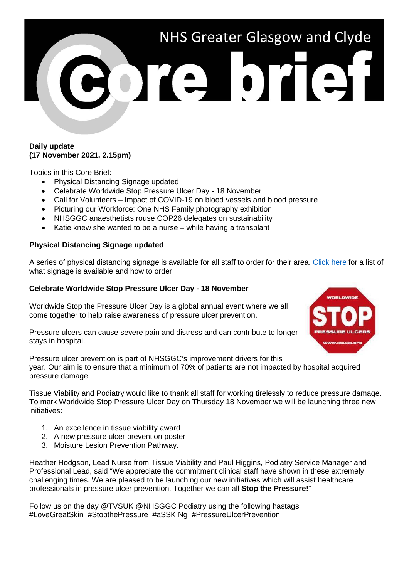# NHS Greater Glasgow and Clyde ore brief

### **Daily update (17 November 2021, 2.15pm)**

Topics in this Core Brief:

- Physical Distancing Signage updated
- Celebrate Worldwide Stop Pressure Ulcer Day 18 November
- Call for Volunteers Impact of COVID-19 on blood vessels and blood pressure
- Picturing our Workforce: One NHS Family photography exhibition
- NHSGGC anaesthetists rouse COP26 delegates on sustainability
- Katie knew she wanted to be a nurse while having a transplant

# **Physical Distancing Signage updated**

A series of physical distancing signage is available for all staff to order for their area. [Click here](https://www.nhsggc.org.uk/media/269483/physical-distancing-signage-catalogue.pdf) for a list of what signage is available and how to order.

# **Celebrate Worldwide Stop Pressure Ulcer Day - 18 November**

Worldwide Stop the Pressure Ulcer Day is a global annual event where we all come together to help raise awareness of pressure ulcer prevention.

Pressure ulcers can cause severe pain and distress and can contribute to longer stays in hospital.



Pressure ulcer prevention is part of NHSGGC's improvement drivers for this year. Our aim is to ensure that a minimum of 70% of patients are not impacted by hospital acquired pressure damage.

Tissue Viability and Podiatry would like to thank all staff for working tirelessly to reduce pressure damage. To mark Worldwide Stop Pressure Ulcer Day on Thursday 18 November we will be launching three new initiatives:

- 1. An excellence in tissue viability award
- 2. A new pressure ulcer prevention poster
- 3. Moisture Lesion Prevention Pathway.

Heather Hodgson, Lead Nurse from Tissue Viability and Paul Higgins, Podiatry Service Manager and Professional Lead, said "We appreciate the commitment clinical staff have shown in these extremely challenging times. We are pleased to be launching our new initiatives which will assist healthcare professionals in pressure ulcer prevention. Together we can all **Stop the Pressure!**"

Follow us on the day @TVSUK @NHSGGC Podiatry using the following hastags #LoveGreatSkin #StopthePressure #aSSKINg #PressureUlcerPrevention.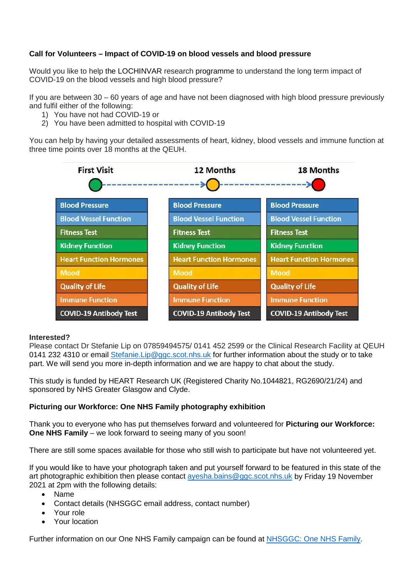# **Call for Volunteers – Impact of COVID-19 on blood vessels and blood pressure**

Would you like to help the LOCHINVAR research programme to understand the long term impact of COVID-19 on the blood vessels and high blood pressure?

If you are between 30 – 60 years of age and have not been diagnosed with high blood pressure previously and fulfil either of the following:

- 1) You have not had COVID-19 or
- 2) You have been admitted to hospital with COVID-19

You can help by having your detailed assessments of heart, kidney, blood vessels and immune function at three time points over 18 months at the QEUH.



# **Interested?**

Please contact Dr Stefanie Lip on 07859494575/ 0141 452 2599 or the Clinical Research Facility at QEUH 0141 232 4310 or email [Stefanie.Lip@ggc.scot.nhs.uk](mailto:Stefanie.Lip@ggc.scot.nhs.uk) for further information about the study or to take part. We will send you more in-depth information and we are happy to chat about the study.

This study is funded by HEART Research UK (Registered Charity No.1044821, RG2690/21/24) and sponsored by NHS Greater Glasgow and Clyde.

# **Picturing our Workforce: One NHS Family photography exhibition**

Thank you to everyone who has put themselves forward and volunteered for **Picturing our Workforce: One NHS Family** – we look forward to seeing many of you soon!

There are still some spaces available for those who still wish to participate but have not volunteered yet.

If you would like to have your photograph taken and put yourself forward to be featured in this state of the art photographic exhibition then please contact [ayesha.bains@ggc.scot.nhs.uk](mailto:ayesha.bains@ggc.scot.nhs.uk) by Friday 19 November 2021 at 2pm with the following details:

- Name
- Contact details (NHSGGC email address, contact number)
- Your role
- Your location

Further information on our One NHS Family campaign can be found at [NHSGGC: One NHS Family.](https://www.nhsggc.org.uk/working-with-us/hr-connect/growing-our-great-community-through-equality-diversity-and-inclusion/one-nhs-family/)